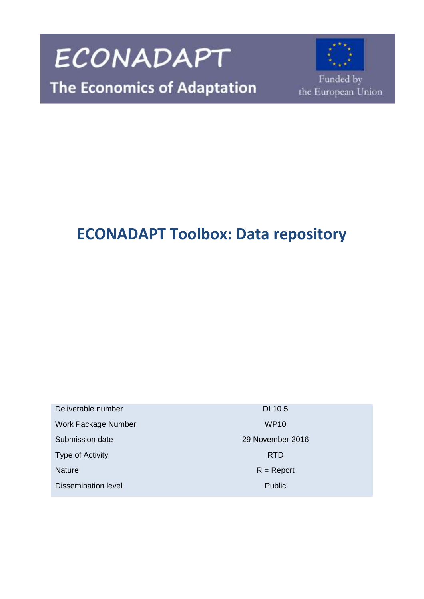

## **ECONADAPT Toolbox: Data repository**

Deliverable number DL10.5 Work Package Number WP10 Submission date 2016 Type of Activity **RTD** Nature R = Report Dissemination level **Public** Public **Public**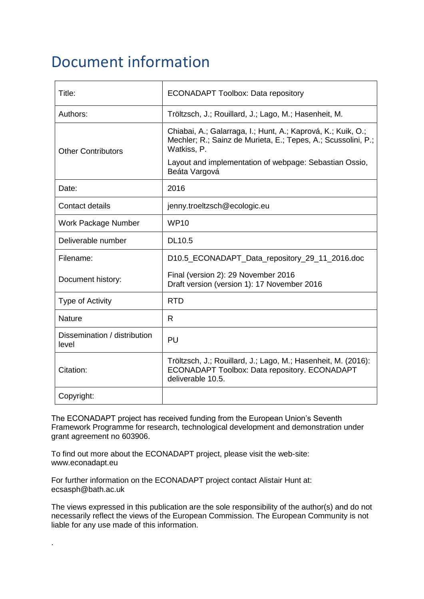## Document information

| Title:                                | <b>ECONADAPT Toolbox: Data repository</b>                                                                                                    |
|---------------------------------------|----------------------------------------------------------------------------------------------------------------------------------------------|
| Authors:                              | Tröltzsch, J.; Rouillard, J.; Lago, M.; Hasenheit, M.                                                                                        |
| <b>Other Contributors</b>             | Chiabai, A.; Galarraga, I.; Hunt, A.; Kaprová, K.; Kuik, O.;<br>Mechler; R.; Sainz de Murieta, E.; Tepes, A.; Scussolini, P.;<br>Watkiss, P. |
|                                       | Layout and implementation of webpage: Sebastian Ossio,<br>Beáta Vargová                                                                      |
| Date:                                 | 2016                                                                                                                                         |
| <b>Contact details</b>                | jenny.troeltzsch@ecologic.eu                                                                                                                 |
| Work Package Number                   | <b>WP10</b>                                                                                                                                  |
| Deliverable number                    | <b>DL10.5</b>                                                                                                                                |
| Filename:                             | D10.5_ECONADAPT_Data_repository_29_11_2016.doc                                                                                               |
| Document history:                     | Final (version 2): 29 November 2016<br>Draft version (version 1): 17 November 2016                                                           |
| <b>Type of Activity</b>               | <b>RTD</b>                                                                                                                                   |
| Nature                                | R                                                                                                                                            |
| Dissemination / distribution<br>level | PU                                                                                                                                           |
| Citation:                             | Tröltzsch, J.; Rouillard, J.; Lago, M.; Hasenheit, M. (2016):<br>ECONADAPT Toolbox: Data repository. ECONADAPT<br>deliverable 10.5.          |
| Copyright:                            |                                                                                                                                              |

The ECONADAPT project has received funding from the European Union's Seventh Framework Programme for research, technological development and demonstration under grant agreement no 603906.

To find out more about the ECONADAPT project, please visit the web-site: www.econadapt.eu

For further information on the ECONADAPT project contact Alistair Hunt at: ecsasph@bath.ac.uk

.

The views expressed in this publication are the sole responsibility of the author(s) and do not necessarily reflect the views of the European Commission. The European Community is not liable for any use made of this information.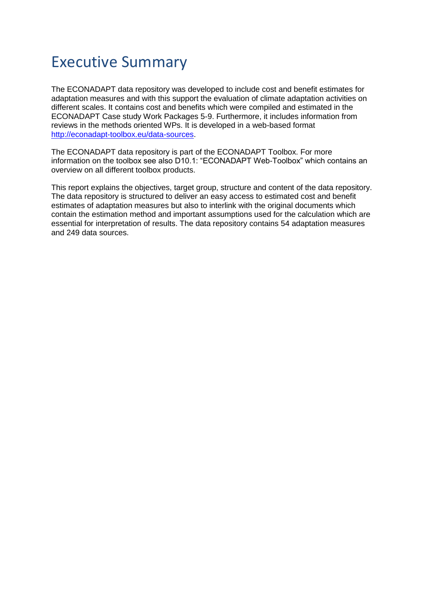## Executive Summary

The ECONADAPT data repository was developed to include cost and benefit estimates for adaptation measures and with this support the evaluation of climate adaptation activities on different scales. It contains cost and benefits which were compiled and estimated in the ECONADAPT Case study Work Packages 5-9. Furthermore, it includes information from reviews in the methods oriented WPs. It is developed in a web-based format [http://econadapt-toolbox.eu/data-sources.](http://econadapt-toolbox.eu/data-sources)

The ECONADAPT data repository is part of the ECONADAPT Toolbox. For more information on the toolbox see also D10.1: "ECONADAPT Web-Toolbox" which contains an overview on all different toolbox products.

This report explains the objectives, target group, structure and content of the data repository. The data repository is structured to deliver an easy access to estimated cost and benefit estimates of adaptation measures but also to interlink with the original documents which contain the estimation method and important assumptions used for the calculation which are essential for interpretation of results. The data repository contains 54 adaptation measures and 249 data sources.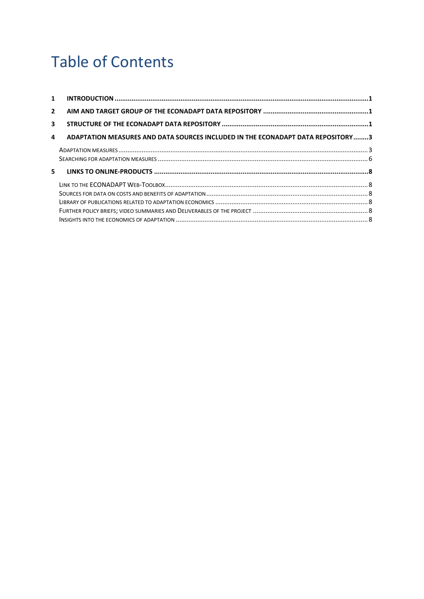# Table of Contents

| $\mathbf{1}$ |                                                                                  |  |
|--------------|----------------------------------------------------------------------------------|--|
| $\mathbf{2}$ |                                                                                  |  |
| 3            |                                                                                  |  |
| 4            | ADAPTATION MEASURES AND DATA SOURCES INCLUDED IN THE ECONADAPT DATA REPOSITORY 3 |  |
|              |                                                                                  |  |
|              |                                                                                  |  |
| 5.           |                                                                                  |  |
|              |                                                                                  |  |
|              |                                                                                  |  |
|              |                                                                                  |  |
|              |                                                                                  |  |
|              |                                                                                  |  |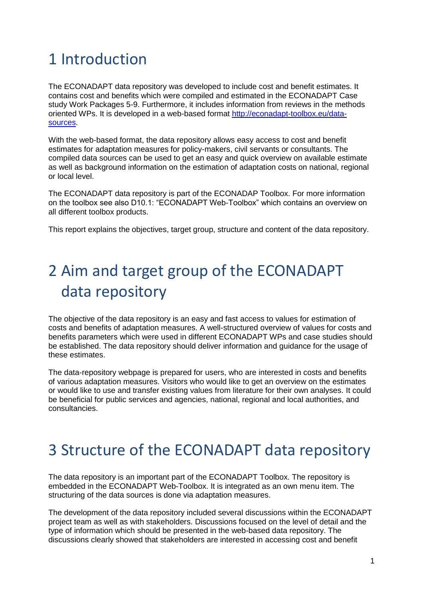# <span id="page-4-0"></span>1 Introduction

The ECONADAPT data repository was developed to include cost and benefit estimates. It contains cost and benefits which were compiled and estimated in the ECONADAPT Case study Work Packages 5-9. Furthermore, it includes information from reviews in the methods oriented WPs. It is developed in a web-based format [http://econadapt-toolbox.eu/data](http://econadapt-toolbox.eu/data-sources)[sources.](http://econadapt-toolbox.eu/data-sources)

With the web-based format, the data repository allows easy access to cost and benefit estimates for adaptation measures for policy-makers, civil servants or consultants. The compiled data sources can be used to get an easy and quick overview on available estimate as well as background information on the estimation of adaptation costs on national, regional or local level.

The ECONADAPT data repository is part of the ECONADAP Toolbox. For more information on the toolbox see also D10.1: "ECONADAPT Web-Toolbox" which contains an overview on all different toolbox products.

This report explains the objectives, target group, structure and content of the data repository.

# <span id="page-4-1"></span>2 Aim and target group of the ECONADAPT data repository

The objective of the data repository is an easy and fast access to values for estimation of costs and benefits of adaptation measures. A well-structured overview of values for costs and benefits parameters which were used in different ECONADAPT WPs and case studies should be established. The data repository should deliver information and guidance for the usage of these estimates.

The data-repository webpage is prepared for users, who are interested in costs and benefits of various adaptation measures. Visitors who would like to get an overview on the estimates or would like to use and transfer existing values from literature for their own analyses. It could be beneficial for public services and agencies, national, regional and local authorities, and consultancies.

## <span id="page-4-2"></span>3 Structure of the ECONADAPT data repository

The data repository is an important part of the ECONADAPT Toolbox. The repository is embedded in the ECONADAPT Web-Toolbox. It is integrated as an own menu item. The structuring of the data sources is done via adaptation measures.

The development of the data repository included several discussions within the ECONADAPT project team as well as with stakeholders. Discussions focused on the level of detail and the type of information which should be presented in the web-based data repository. The discussions clearly showed that stakeholders are interested in accessing cost and benefit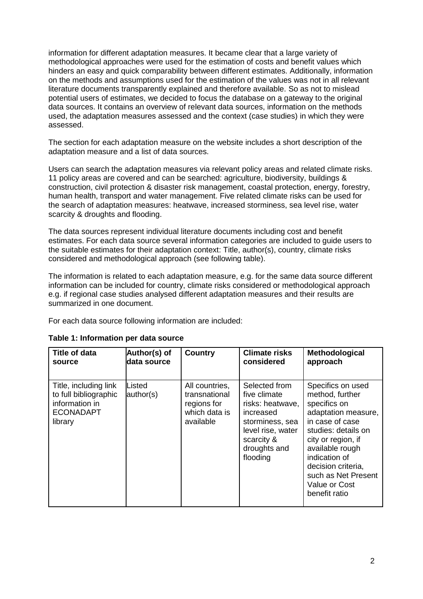information for different adaptation measures. It became clear that a large variety of methodological approaches were used for the estimation of costs and benefit values which hinders an easy and quick comparability between different estimates. Additionally, information on the methods and assumptions used for the estimation of the values was not in all relevant literature documents transparently explained and therefore available. So as not to mislead potential users of estimates, we decided to focus the database on a gateway to the original data sources. It contains an overview of relevant data sources, information on the methods used, the adaptation measures assessed and the context (case studies) in which they were assessed.

The section for each adaptation measure on the website includes a short description of the adaptation measure and a list of data sources.

Users can search the adaptation measures via relevant policy areas and related climate risks. 11 policy areas are covered and can be searched: agriculture, biodiversity, buildings & construction, civil protection & disaster risk management, coastal protection, energy, forestry, human health, transport and water management. Five related climate risks can be used for the search of adaptation measures: heatwave, increased storminess, sea level rise, water scarcity & droughts and flooding.

The data sources represent individual literature documents including cost and benefit estimates. For each data source several information categories are included to guide users to the suitable estimates for their adaptation context: Title, author(s), country, climate risks considered and methodological approach (see following table).

The information is related to each adaptation measure, e.g. for the same data source different information can be included for country, climate risks considered or methodological approach e.g. if regional case studies analysed different adaptation measures and their results are summarized in one document.

For each data source following information are included:

| Title of data                                                                                   | Author(s) of        | <b>Country</b>                                                               | <b>Climate risks</b>                                                                                                                             | Methodological                                                                                                                                                                                                                                                 |
|-------------------------------------------------------------------------------------------------|---------------------|------------------------------------------------------------------------------|--------------------------------------------------------------------------------------------------------------------------------------------------|----------------------------------------------------------------------------------------------------------------------------------------------------------------------------------------------------------------------------------------------------------------|
| source                                                                                          | data source         |                                                                              | considered                                                                                                                                       | approach                                                                                                                                                                                                                                                       |
| Title, including link<br>to full bibliographic<br>information in<br><b>ECONADAPT</b><br>library | Listed<br>author(s) | All countries,<br>transnational<br>regions for<br>which data is<br>available | Selected from<br>five climate<br>risks: heatwave,<br>increased<br>storminess, sea<br>level rise, water<br>scarcity &<br>droughts and<br>flooding | Specifics on used<br>method, further<br>specifics on<br>adaptation measure,<br>in case of case<br>studies: details on<br>city or region, if<br>available rough<br>indication of<br>decision criteria,<br>such as Net Present<br>Value or Cost<br>benefit ratio |

#### **Table 1: Information per data source**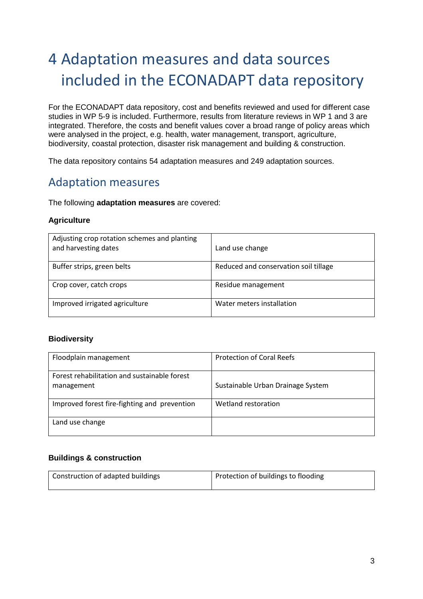# <span id="page-6-0"></span>4 Adaptation measures and data sources included in the ECONADAPT data repository

For the ECONADAPT data repository, cost and benefits reviewed and used for different case studies in WP 5-9 is included. Furthermore, results from literature reviews in WP 1 and 3 are integrated. Therefore, the costs and benefit values cover a broad range of policy areas which were analysed in the project, e.g. health, water management, transport, agriculture, biodiversity, coastal protection, disaster risk management and building & construction.

The data repository contains 54 adaptation measures and 249 adaptation sources.

### <span id="page-6-1"></span>Adaptation measures

The following **adaptation measures** are covered:

#### **Agriculture**

| Adjusting crop rotation schemes and planting<br>and harvesting dates | Land use change                       |
|----------------------------------------------------------------------|---------------------------------------|
| Buffer strips, green belts                                           | Reduced and conservation soil tillage |
| Crop cover, catch crops                                              | Residue management                    |
| Improved irrigated agriculture                                       | Water meters installation             |

#### **Biodiversity**

| Floodplain management                                      | <b>Protection of Coral Reefs</b>  |
|------------------------------------------------------------|-----------------------------------|
| Forest rehabilitation and sustainable forest<br>management | Sustainable Urban Drainage System |
| Improved forest fire-fighting and prevention               | Wetland restoration               |
| Land use change                                            |                                   |

#### **Buildings & construction**

| Construction of adapted buildings | Protection of buildings to flooding |
|-----------------------------------|-------------------------------------|
|                                   |                                     |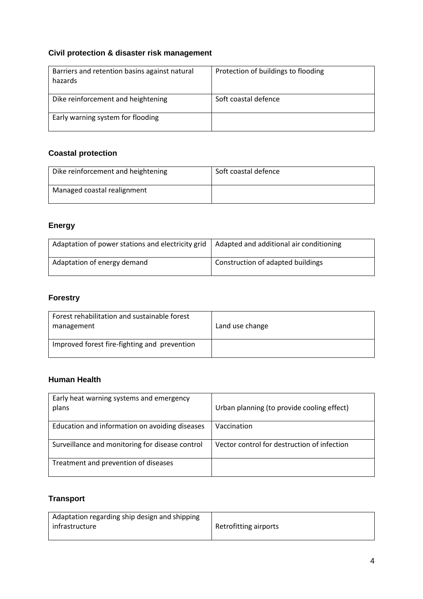### **Civil protection & disaster risk management**

| Barriers and retention basins against natural<br>hazards | Protection of buildings to flooding |
|----------------------------------------------------------|-------------------------------------|
| Dike reinforcement and heightening                       | Soft coastal defence                |
| Early warning system for flooding                        |                                     |

### **Coastal protection**

| Dike reinforcement and heightening | Soft coastal defence |
|------------------------------------|----------------------|
| Managed coastal realignment        |                      |

### **Energy**

| Adaptation of power stations and electricity grid | Adapted and additional air conditioning |
|---------------------------------------------------|-----------------------------------------|
| Adaptation of energy demand                       | Construction of adapted buildings       |

### **Forestry**

| Forest rehabilitation and sustainable forest<br>management | Land use change |
|------------------------------------------------------------|-----------------|
| Improved forest fire-fighting and prevention               |                 |

### **Human Health**

| Early heat warning systems and emergency<br>plans | Urban planning (to provide cooling effect)  |
|---------------------------------------------------|---------------------------------------------|
| Education and information on avoiding diseases    | Vaccination                                 |
| Surveillance and monitoring for disease control   | Vector control for destruction of infection |
| Treatment and prevention of diseases              |                                             |

### **Transport**

| Adaptation regarding ship design and shipping |                       |
|-----------------------------------------------|-----------------------|
| infrastructure                                | Retrofitting airports |
|                                               |                       |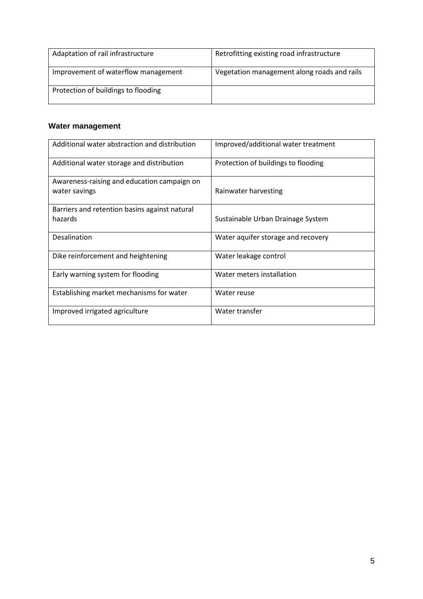| Adaptation of rail infrastructure   | Retrofitting existing road infrastructure   |
|-------------------------------------|---------------------------------------------|
| Improvement of waterflow management | Vegetation management along roads and rails |
| Protection of buildings to flooding |                                             |

### **Water management**

| Additional water abstraction and distribution                | Improved/additional water treatment |
|--------------------------------------------------------------|-------------------------------------|
| Additional water storage and distribution                    | Protection of buildings to flooding |
| Awareness-raising and education campaign on<br>water savings | Rainwater harvesting                |
| Barriers and retention basins against natural<br>hazards     | Sustainable Urban Drainage System   |
| <b>Desalination</b>                                          | Water aquifer storage and recovery  |
| Dike reinforcement and heightening                           | Water leakage control               |
| Early warning system for flooding                            | Water meters installation           |
| Establishing market mechanisms for water                     | Water reuse                         |
| Improved irrigated agriculture                               | Water transfer                      |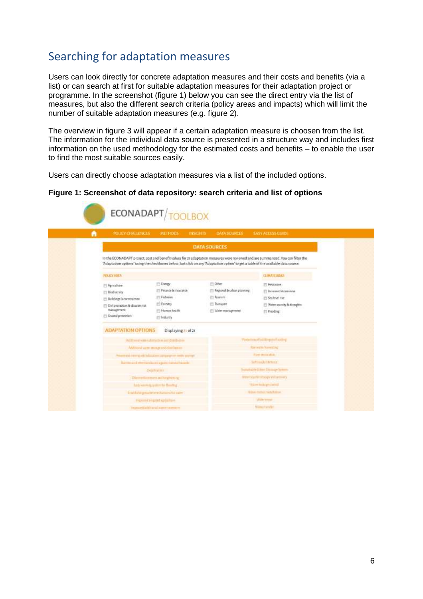## <span id="page-9-0"></span>Searching for adaptation measures

Users can look directly for concrete adaptation measures and their costs and benefits (via a list) or can search at first for suitable adaptation measures for their adaptation project or programme. In the screenshot (figure 1) below you can see the direct entry via the list of measures, but also the different search criteria (policy areas and impacts) which will limit the number of suitable adaptation measures (e.g. figure 2).

The overview in figure 3 will appear if a certain adaptation measure is choosen from the list. The information for the individual data source is presented in a structure way and includes first information on the used methodology for the estimated costs and benefits – to enable the user to find the most suitable sources easily.

Users can directly choose adaptation measures via a list of the included options.

#### **Figure 1: Screenshot of data repository: search criteria and list of options**

| <b><i>POLICY CHALLENGES</i></b>   | METHODS:                                              | <b>INSIGHTS</b> | <b>DATA SOURCES:</b>          | <b>EASY ACCESS CLINDE</b>                                                                                                                                                                                                                                                |
|-----------------------------------|-------------------------------------------------------|-----------------|-------------------------------|--------------------------------------------------------------------------------------------------------------------------------------------------------------------------------------------------------------------------------------------------------------------------|
|                                   |                                                       |                 | <b>DATA SOURCES</b>           |                                                                                                                                                                                                                                                                          |
|                                   |                                                       |                 |                               | In the ECONADAPT project, cost and benefit values for 21 adaptation measures were reviewed and are summarized. You can filter the<br>"Adaptation options" using the checkboxes below, Just click on any "Adaptation option" to get a table of the available data source. |
| <b>POLICY AGEA</b>                |                                                       |                 |                               | CLIMATE RISKS                                                                                                                                                                                                                                                            |
| [1] Agriculture                   | <b>ED Fronty:</b>                                     |                 | (1) Oher                      | [1] Hestwave                                                                                                                                                                                                                                                             |
| <b>El Bodiversity</b>             | Finance & Insurance                                   |                 | [1] Regional & urban planning | Fi increased storminess.                                                                                                                                                                                                                                                 |
| (1) Buildings & construction      | <b>El Fisheries</b>                                   |                 | [7] Tearium                   | Sea level rise                                                                                                                                                                                                                                                           |
| Civil protection for baselin risk | <b>Fatestry</b>                                       |                 | <b>Thangedd</b>               | Water scarcity & Broughts                                                                                                                                                                                                                                                |
| management                        | Himas health                                          |                 | Water management              | <b>ITS Flooding</b>                                                                                                                                                                                                                                                      |
| [1] Countal promettion            | El Industry                                           |                 |                               |                                                                                                                                                                                                                                                                          |
| <b>ADAPTATION OPTIONS</b>         | Displaying 21 of 21                                   |                 |                               |                                                                                                                                                                                                                                                                          |
|                                   | Millional water alumintary and distribution           |                 |                               | Proteinmoffsullingstoffsoding                                                                                                                                                                                                                                            |
|                                   | Malmoral water strange and distributors               |                 |                               | <b>Rammare Rammarg</b>                                                                                                                                                                                                                                                   |
|                                   | America's team and adjustment company of well any go- |                 |                               | <b>Highlintochin</b>                                                                                                                                                                                                                                                     |
|                                   | Barren and Henrich Barry against valued hazards       |                 |                               | Selt mailablebase                                                                                                                                                                                                                                                        |
|                                   | detainment                                            |                 |                               | Futuri Addition Discount Terms                                                                                                                                                                                                                                           |
| Обезначается напуската на         |                                                       |                 |                               | Marekala Perstange and recovery                                                                                                                                                                                                                                          |
|                                   | Anty South Age & March & Rowling                      |                 |                               | Water hold problem!                                                                                                                                                                                                                                                      |
|                                   | Individupment rectured to eater                       |                 |                               | NESSA PAPERTYPOLICINA                                                                                                                                                                                                                                                    |
|                                   | maximizing and applications                           |                 |                               | With result                                                                                                                                                                                                                                                              |
|                                   | improvement in a station of the movement.             |                 |                               | <b>Many records</b>                                                                                                                                                                                                                                                      |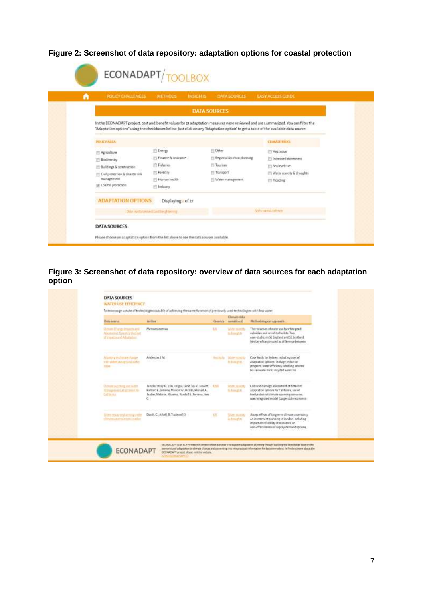**Figure 2: Screenshot of data repository: adaptation options for coastal protection**

| POLICY CHALLENGES METHODS             |                               | <b>INSIGHTS</b> | <b>DATA SOURCES</b>                     | <b>EASY ACCESS GUIDE</b>                                                                                                                                                                                                                                                 |
|---------------------------------------|-------------------------------|-----------------|-----------------------------------------|--------------------------------------------------------------------------------------------------------------------------------------------------------------------------------------------------------------------------------------------------------------------------|
|                                       |                               |                 | <b>DATA SOURCES</b>                     |                                                                                                                                                                                                                                                                          |
|                                       |                               |                 |                                         | In the ECONADAPT project, cost and benefit values for 21 adaptation measures were reviewed and are summarized. You can filter the<br>'Adaptation options' using the checkboxes below. Just click on any 'Adaptation option' to get a table of the available data source. |
| <b>FOUCY/ABEA</b>                     |                               |                 |                                         | <b>CLIMATE RISKS</b>                                                                                                                                                                                                                                                     |
| <sup>22</sup> Agriculture             | <b>El Energy</b>              |                 | <b>D</b> Other                          | <b>TT Heatwave</b>                                                                                                                                                                                                                                                       |
| El Bodiversity                        | Finance & Issurance           |                 | <b>TI Regional &amp; urban planning</b> | Ti Increased storminess                                                                                                                                                                                                                                                  |
| E Buildings & construction.           | Fi Fisheries                  |                 | <b>Tourum</b>                           | ES Sea level rise                                                                                                                                                                                                                                                        |
| [1]: Civil protection & disaster risk | <b>ES Forestry</b>            |                 | Transport                               | Water scarcity le droughts                                                                                                                                                                                                                                               |
| management                            | Fili Haman health             |                 | Water management                        | <b>III</b> Flooding                                                                                                                                                                                                                                                      |
| THE Coastal protection                | [2] Industry                  |                 |                                         |                                                                                                                                                                                                                                                                          |
| <b>ADAPTATION OPTIONS</b>             | Displaying of 21              |                 |                                         |                                                                                                                                                                                                                                                                          |
|                                       | this millionist and lettice a |                 |                                         | Saturdael delivery                                                                                                                                                                                                                                                       |

**Figure 3: Screenshot of data repository: overview of data sources for each adaptation option**

| Data searce                                                                                      | <b>further</b>                                                                                                                                                              | <b>Country</b>       | Climate mike<br>munitiered           | Plettushingical approach                                                                                                                                                                  |
|--------------------------------------------------------------------------------------------------|-----------------------------------------------------------------------------------------------------------------------------------------------------------------------------|----------------------|--------------------------------------|-------------------------------------------------------------------------------------------------------------------------------------------------------------------------------------------|
| Chemine Charles Impacts and<br><b>Allonation Quantity the Cost</b><br>of transitioned Afastation | Метлиозовотка                                                                                                                                                               | <b>UB</b>            | Wider scartita<br>the division price | The reduction of water use hi white good<br>subsidiars and retrafit of turbets. Two<br>case-studies in SE England and SE Scotland.<br>Net benefit eitlinuted au difference between        |
| Atlantic indiriate though<br>with sixter uning Land scrie-<br>stand the control film.            | Anderson, 1 Mt.<br>n nextext.                                                                                                                                               | <b>Booth All Ave</b> | <b>PERTY SATE OF</b><br>foldsagen.   | Case Study for Sydney, including a set of<br>adaptation options linakage reduction<br>program, water efficiency labelling, returns.<br>for rainwater tank, recycled water for             |
| Datum sattting and were<br><b>TERNISHMENT AT AUTOMOTIVE</b><br>Calterna                          | Tanaša, Stazy K., Zřez, Tinghu, Lund, Jay R., Howitz,  1768<br>Richard E., Jenkins, Marion W., Ralido Manuel A.,<br>Taabec Melasin, Ritanna, Randall S., Ferreira Inea<br>c |                      | Wheel scortily<br><b>S. Fredrick</b> | Cost and duringe assessment of different:<br>adaptation options for California, use of<br>twelve datinet climate warming somarios.<br>takes integrated model (Large-scale economi-        |
| With reputate place regulated<br>dings worten number                                             | Darch, G. Arkell, B. Tradewell, 3                                                                                                                                           | US.                  | WART STATUTE<br>in timestro.         | Assess effects of long term climate uncertainty<br>on investment planning in London, including<br>impact on reliability of resources; on<br>cast-effective tess of supply-demand options. |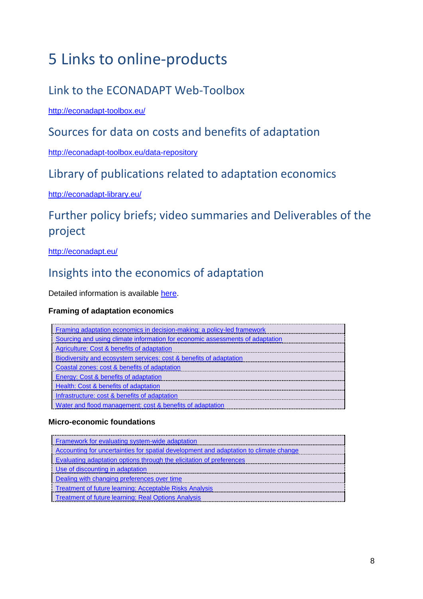# <span id="page-11-0"></span>5 Links to online-products

## <span id="page-11-1"></span>Link to the ECONADAPT Web-Toolbox

<http://econadapt-toolbox.eu/>

## <span id="page-11-2"></span>Sources for data on costs and benefits of adaptation

<http://econadapt-toolbox.eu/data-repository>

### <span id="page-11-3"></span>Library of publications related to adaptation economics

<http://econadapt-library.eu/>

## <span id="page-11-4"></span>Further policy briefs; video summaries and Deliverables of the project

<http://econadapt.eu/>

## <span id="page-11-5"></span>Insights into the economics of adaptation

Detailed information is available [here.](http://econadapt-toolbox.eu/insights)

### **Framing of adaptation economics**

### **Micro-economic foundations**

| Framework for evaluating system-wide adaptation                                       |  |  |  |  |
|---------------------------------------------------------------------------------------|--|--|--|--|
| Accounting for uncertainties for spatial development and adaptation to climate change |  |  |  |  |
| Evaluating adaptation options through the elicitation of preferences                  |  |  |  |  |
| : Use of discounting in adaptation                                                    |  |  |  |  |
| Dealing with changing preferences over time                                           |  |  |  |  |
| : Treatment of future learning: Acceptable Risks Analysis                             |  |  |  |  |
| Treatment of future learning: Real Options Analysis                                   |  |  |  |  |
|                                                                                       |  |  |  |  |